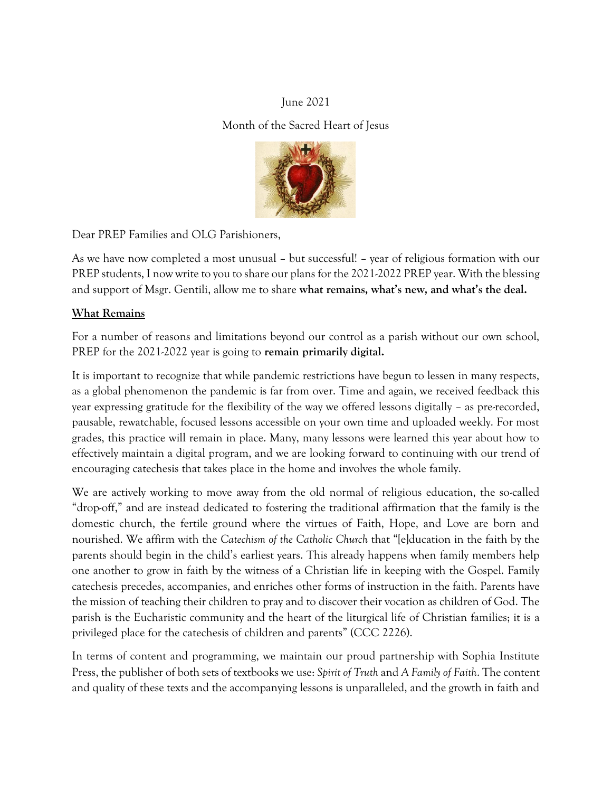# June 2021

# Month of the Sacred Heart of Jesus



Dear PREP Families and OLG Parishioners,

As we have now completed a most unusual – but successful! – year of religious formation with our PREP students, I now write to you to share our plans for the 2021-2022 PREP year. With the blessing and support of Msgr. Gentili, allow me to share **what remains, what's new, and what's the deal.**

# **What Remains**

For a number of reasons and limitations beyond our control as a parish without our own school, PREP for the 2021-2022 year is going to **remain primarily digital.** 

It is important to recognize that while pandemic restrictions have begun to lessen in many respects, as a global phenomenon the pandemic is far from over. Time and again, we received feedback this year expressing gratitude for the flexibility of the way we offered lessons digitally – as pre-recorded, pausable, rewatchable, focused lessons accessible on your own time and uploaded weekly. For most grades, this practice will remain in place. Many, many lessons were learned this year about how to effectively maintain a digital program, and we are looking forward to continuing with our trend of encouraging catechesis that takes place in the home and involves the whole family.

We are actively working to move away from the old normal of religious education, the so-called "drop-off," and are instead dedicated to fostering the traditional affirmation that the family is the domestic church, the fertile ground where the virtues of Faith, Hope, and Love are born and nourished. We affirm with the *Catechism of the Catholic Church* that "[e]ducation in the faith by the parents should begin in the child's earliest years. This already happens when family members help one another to grow in faith by the witness of a Christian life in keeping with the Gospel. Family catechesis precedes, accompanies, and enriches other forms of instruction in the faith. Parents have the mission of teaching their children to pray and to discover their vocation as children of God. The parish is the Eucharistic community and the heart of the liturgical life of Christian families; it is a privileged place for the catechesis of children and parents" (CCC 2226).

In terms of content and programming, we maintain our proud partnership with Sophia Institute Press, the publisher of both sets of textbooks we use: *Spirit of Truth* and *A Family of Faith*. The content and quality of these texts and the accompanying lessons is unparalleled, and the growth in faith and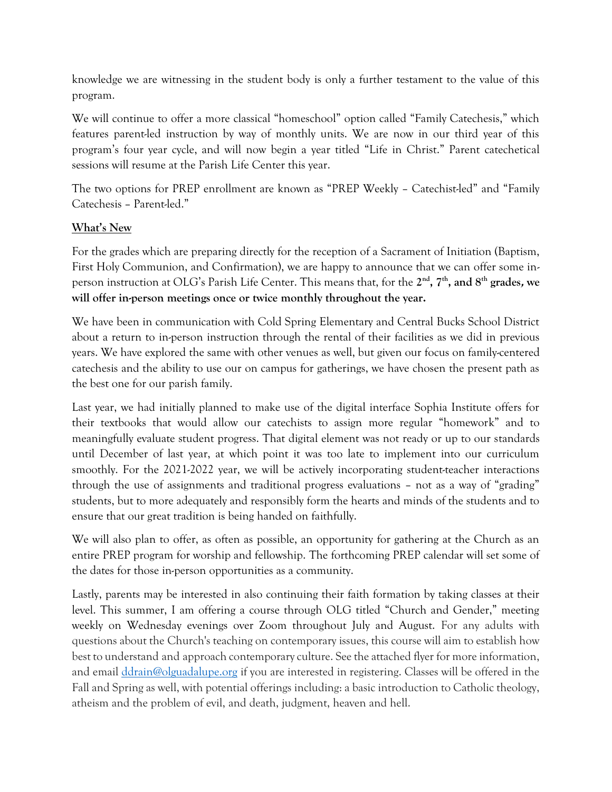knowledge we are witnessing in the student body is only a further testament to the value of this program.

We will continue to offer a more classical "homeschool" option called "Family Catechesis," which features parent-led instruction by way of monthly units. We are now in our third year of this program's four year cycle, and will now begin a year titled "Life in Christ." Parent catechetical sessions will resume at the Parish Life Center this year.

The two options for PREP enrollment are known as "PREP Weekly – Catechist-led" and "Family Catechesis – Parent-led."

# **What's New**

For the grades which are preparing directly for the reception of a Sacrament of Initiation (Baptism, First Holy Communion, and Confirmation), we are happy to announce that we can offer some inperson instruction at OLG's Parish Life Center. This means that, for the 2<sup>nd</sup>, 7<sup>th</sup>, and 8<sup>th</sup> grades*,* we **will offer in-person meetings once or twice monthly throughout the year.**

We have been in communication with Cold Spring Elementary and Central Bucks School District about a return to in-person instruction through the rental of their facilities as we did in previous years. We have explored the same with other venues as well, but given our focus on family-centered catechesis and the ability to use our on campus for gatherings, we have chosen the present path as the best one for our parish family.

Last year, we had initially planned to make use of the digital interface Sophia Institute offers for their textbooks that would allow our catechists to assign more regular "homework" and to meaningfully evaluate student progress. That digital element was not ready or up to our standards until December of last year, at which point it was too late to implement into our curriculum smoothly. For the 2021-2022 year, we will be actively incorporating student-teacher interactions through the use of assignments and traditional progress evaluations – not as a way of "grading" students, but to more adequately and responsibly form the hearts and minds of the students and to ensure that our great tradition is being handed on faithfully.

We will also plan to offer, as often as possible, an opportunity for gathering at the Church as an entire PREP program for worship and fellowship. The forthcoming PREP calendar will set some of the dates for those in-person opportunities as a community.

Lastly, parents may be interested in also continuing their faith formation by taking classes at their level. This summer, I am offering a course through OLG titled "Church and Gender," meeting weekly on Wednesday evenings over Zoom throughout July and August. For any adults with questions about the Church's teaching on contemporary issues, this course will aim to establish how best to understand and approach contemporary culture. See the attached flyer for more information, and email [ddrain@olguadalupe.org](mailto:ddrain@olguadalupe.org) if you are interested in registering. Classes will be offered in the Fall and Spring as well, with potential offerings including: a basic introduction to Catholic theology, atheism and the problem of evil, and death, judgment, heaven and hell.